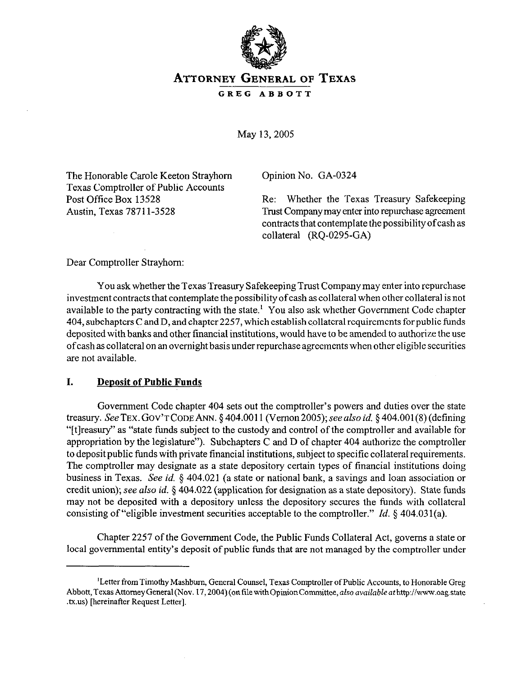

# **ATTORNEY GENERAL OF TEXAS**

GREG ABBOTT

May 13,2005

The Honorable Carole Keeton Strayhom Texas Comptroller of Public Accounts Post Office Box 13528 Austin, Texas 78711-3528

Opinion No. GA-0324

Re: Whether the Texas Treasury Safekeeping Trust Company may enter into repurchase agreement contracts that contemplate the possibilityofcash as collateral (RQ-0295-GA)

Dear Comptroller Strayhom:

You ask whether the Texas Treasury Safekeeping Trust Company may enter into repurchase investment contracts that contemplate the possibility of cash as collateral when other collateral is not available to the party contracting with the state.' You also ask whether Government Code chapter 404, subchapters C andD, and chapter2257, which establish collateral requirements for public funds deposited with banks and other financial institutions, would have to be amended to authorize the use of cash as collateral on an overnight basis under repurchase agreements when other eligible securities are not available.

#### **I. Deposit of Public Funds**

Government Code chapter 404 sets out the comptroller's powers and duties over the state treasury. SeeTEx. GOV'TCODE ANN. \$404.0011 (Vemon2005); seealso *id.* 5 404.001(8) (defining "[tlreasury" as "state funds subject to the custody and control of the comptroller and available for appropriation by the legislature"). Subchapters C and D of chapter 404 authorize the comptroller to deposit public funds with private financial institutions, subject to specific collateral requirements. The comptroller may designate as a state depository certain types of financial institutions doing business in Texas. See *id.* 5 404.021 (a state or national bank, a savings and loan association or credit union); see also *id.* 5 404.022 (application for designation as a state depository). State funds may not be deposited with a depository unless the depository secures the funds with collateral consisting of "eligible investment securities acceptable to the comptroller." *Id. 5 404.03* l(a).

Chapter 2257 of the Government Code, the Public Funds Collateral Act, governs a state or local governmental entity's deposit of public funds that are not managed by the comptroller under

<sup>&#</sup>x27;Letter from Timothy Mashbum, General Counsel, Texas Comptroller of Public Accounts, to Honorable Greg Abbott, Texas Attorney General (Nov. 17, 2004) (on file with Opinion Committee, also available at http://www.oag.state .tx.us) [hereinafter Request Letter].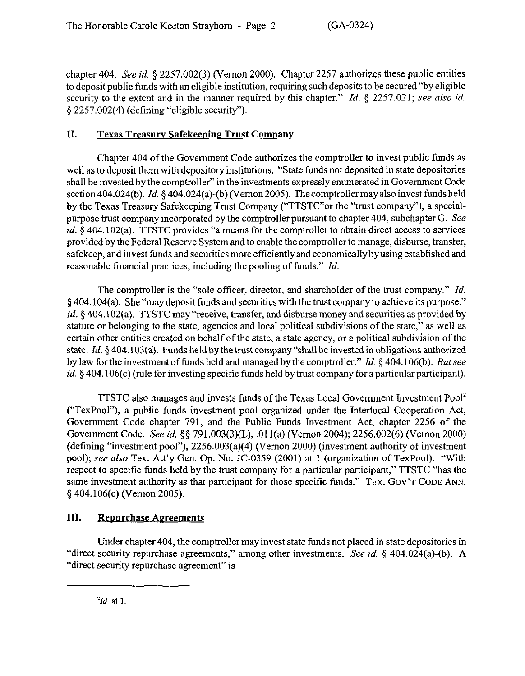chapter 404. See *id.* 9 2257.002(3) (Vernon 2000). Chapter 2257 authorizes these public entities to deposit public funds with an eligible institution, requiring such deposits to be secured "by eligible security to the extent and in the manner required by this chapter." *Id. 5* 2257.021; see also *id.*  5 2257.002(4) (defining "eligible security").

### **II. Texas Treasury Safekeepine Trust Company**

Chapter 404 of the Government Code authorizes the comptroller to invest public funds as well as to deposit them with depository institutions. "State funds not deposited in state depositories shall be invested by the comptroller" in the investments expressly enumerated in Government Code section 404.024(b). *Id.* § 404.024(a)-(b) (Vernon 2005). The comptroller may also invest funds held by the Texas Treasury Safekeeping Trust Company ("TTSTC'or the "trust company"), a specialpurpose trust company incorporated by the comptroller pursuant to chapter 404, subchapter G. See *id.* § 404.102(a). TTSTC provides "a means for the comptroller to obtain direct access to services provided by the Federal Reserve System and to enable the comptroller to manage, disburse, transfer, safekeep, and invest funds and securities more efficiently and economically by using established and reasonable financial practices, including the pooling of funds." *Id.* 

The comptroller is the "sole officer, director, and shareholder of the trust company." *Id.*  5 404.104(a). She "maydeposit funds and securities with the trust company to achieve its purpose." *Id.* § 404.102(a). TTSTC may "receive, transfer, and disburse money and securities as provided by statute or belonging to the state, agencies and local political subdivisions of the state," as well as certain other entities created on behalf of the state, a state agency, or a political subdivision of the state. *Id.* 5 404.103(a). Funds held by the trust company "shall be invested in obligations authorized by law for the investment of funds held and managed by the comptroller." *Id. 5 404.106(b). But see id.* § 404.106(c) (rule for investing specific funds held by trust company for a particular participant).

TTSTC also manages and invests funds of the Texas Local Government Investment Pool' ("TexPool"), a public funds investment pool organized under the Interlocal Cooperation Act, Govermnent Code chapter 791, and the Public Funds Investment Act, chapter 2256 of the Government Code. See *id.* \$5 791.003(3)(L), .Ol l(a) (Vernon 2004); 2256.002(6) (Vernon 2000) (defining "investment pool"),  $2256.003(a)(4)$  (Vernon 2000) (investment authority of investment pool); see also Tex. Att'y Gen. Op. No. JC-0359 (2001) at 1 (organization of TexPool). "With respect to specific funds held by the trust company for a particular participant," TTSTC "has the same investment authority as that participant for those specific funds." TEX. GOV'T CODE ANN. \$404.106(c) (Vernon 2005).

## **III. Repurchase Agreements**

Under chapter 404, the comptroller may invest state funds not placed in state depositories in "direct security repurchase agreements," among other investments. See *id.* § 404.024(a)-(b). A "direct security repurchase agreement" is

*'Id.* at *1*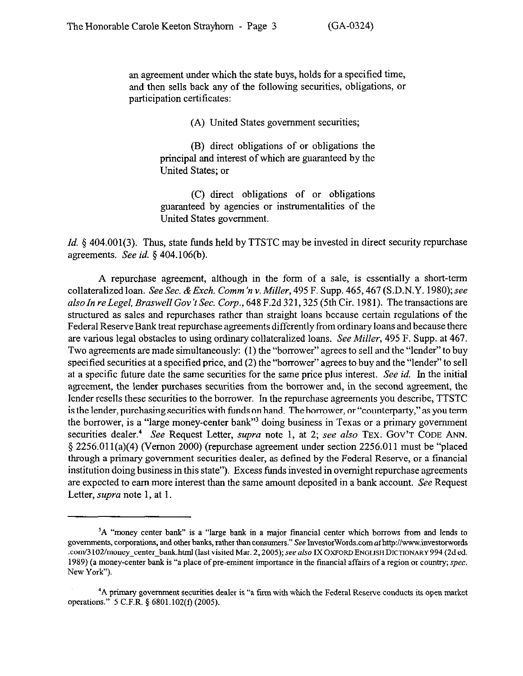an agreement under which the state buys, holds for a specified time, and then sells back any of the following securities, obligations, or participation certificates:

(A) United States government securities;

(B) direct obligations of or obligations the principal and interest of which are guaranteed by the United States; or

(C) direct obligations of or obligations guaranteed by agencies or instrumentalities of the United States government.

*Id.* § 404.001(3). Thus, state funds held by TTSTC may be invested in direct security repurchase agreements. See *id. 5* 404.106(b).

A repurchase agreement, although in the form of a sale, is essentially a short-term collateralized loan. See Sec. & Exch. Comm'n v. Miller, 495 F. Supp. 465, 467 (S.D.N.Y. 1980); see *alsoIn re Legel, BraswellGov't Sec. Corp., 648* F.2d 321,325 (5th Cir. 1981). The transactions are structured as sales and repurchases rather than straight loans because certain regulations of the Federal Reserve Bank treat repurchase agreements differently from ordinary loans and because there are various legal obstacles to using ordinary collateralized *loans. See Miller, 495* F. Supp. at 467. Two agreements are made simultaneously: (1) the "borrower" agrees to sell and the "lender" to buy specified securities at a specified price, and (2) the "borrower" agrees to buy and the "lender" to sell at a specific future date the same securities for the same price plus interest. See *id.* In the initial agreement, the lender purchases securities from the borrower and, in the second agreement, the lender resells these securities to the borrower. In the repurchase agreements you describe, TTSTC is the lender, purchasing securities with funds on hand. The borrower, or "counterparty," as you term the borrower, is a "large money-center bank"' doing business in Texas or a primary government securities dealer.<sup>4</sup> See Request Letter, *supra* note 1, at 2; see also TEX. GOV'T CODE ANN.  $§$  2256.011(a)(4) (Vernon 2000) (repurchase agreement under section 2256.011 must be "placed through a primary government securities dealer, as defined by the Federal Reserve, or a financial institution doing business in this state"). Excess funds invested in overnight repurchase agreements are expected to earn more interest than the same amount deposited in a bank account. See Request Letter, supra note 1, at 1.

<sup>&</sup>lt;sup>3</sup>A "money center bank" is a "large bank in a major financial center which borrows from and lends to governments, corporations, and other banks, rather than consumers." See InvestorWords.com at http://www.investorwords .com/3102/money\_center\_bank.html (last visited Mar. 2, 2005); see also IX OXFORD **ENGLISH DICTIONARY 994 (2d ed.** 1989) (a money-center bank is "a place of pre-eminent importance in the financial affairs of a region or country; spec. New York").

<sup>&#</sup>x27;A primary government securities dealer is "a tirm with which the Federal Reserve conducts its open market operations." 5 C.F.R. \$ 6801.102(f) (2005).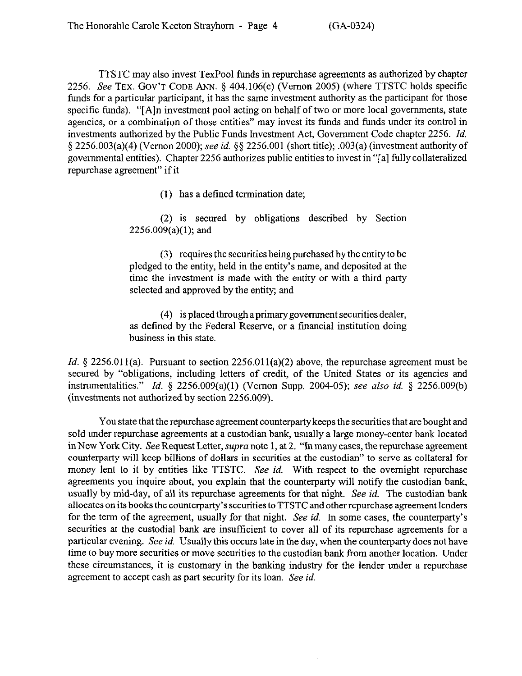TTSTC may also invest TexPool funds in repurchase agreements as authorized by chapter 2256. See **TEX. GOV'T CODE** ANN. 5 404.106(c) (Vernon 2005) (where TTSTC holds specific funds for a particular participant, it has the same investment authority as the participant for those specific funds). "[A]n investment pool acting on behalf of two or more local governments, state agencies, or a combination of those entities" may invest its funds and funds under its control in investments authorized by the Public Funds Investment Act, Government Code chapter 2256. *Id.*  5 2256.003(a)(4) (Vernon 2000); see *id.* \$9 2256.001 (short title); .003(a) (investment authority of governmental entities). Chapter 2256 authorizes public entities to invest in "[a] fully collateralized repurchase agreement" if it

(1) has a defined termination date;

(2) is secured by obligations described by Section 2256.009(a)(l); and

(3) requires the securities being purchased by the entity to be pledged to the entity, held in the entity's name, and deposited at the time the investment is made with the entity or with a third party selected and approved by the entity; and

(4) is placed through a primary government securities dealer, as defined by the Federal Reserve, or a financial institution doing business in this state.

*Id.* § 2256.011(a). Pursuant to section 2256.011(a)(2) above, the repurchase agreement must be secured by "obligations, including letters of credit, of the United States or its agencies and instrumentalities." *Id.* § 2256.009(a)(1) (Vernon Supp. 2004-05); see also *id.* § 2256.009(b) (investments not authorized by section 2256.009).

You state that the repurchase agreement countetparty keeps the securities that are bought and sold under repurchase agreements at a custodian bank, usually a large money-center bank located in New York City. See Request Letter, supra note 1, at 2. "In many cases, the repurchase agreement counterparty will keep billions of dollars in securities at the custodian" to serve as collateral for money lent to it by entities like TTSTC. See *id.* With respect to the overnight repurchase agreements you inquire about, you explain that the counterparty will notify the custodian bank, usually by mid-day, of all its repurchase agreements for that night. See *id.* The custodian bank allocates on its books the counterparty's securities to TTSTC and other repurchase agreement lenders for the term of the agreement, usually for that night. See *id. In* some cases, the counterparty's securities at the custodial bank are insufficient to cover all of its repurchase agreements for a particular evening. See *id.* Usually this occurs late in the day, when the counterparty does not have time to buy more securities or move securities to the custodian bank from another location. Under these circumstances, it is customary in the banking industry for the lender under a repurchase agreement to accept cash as part security for its loan, See *id.*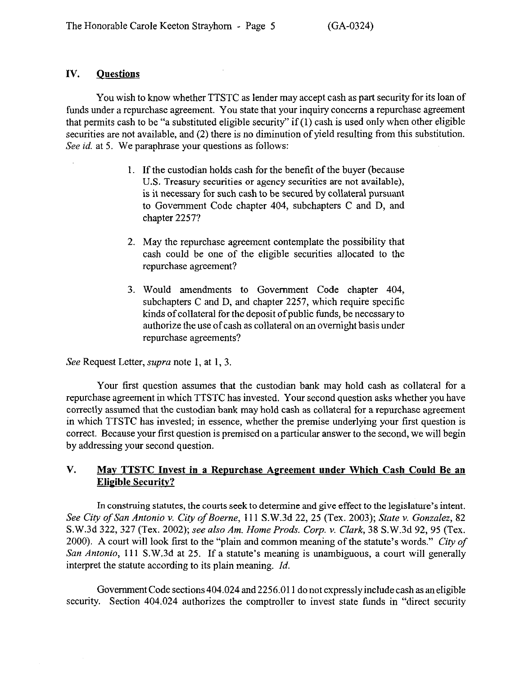### **IV. Questions**

You wish to know whether TTSTC as lender may accept cash as part security for its loan of funds under a repurchase agreement. You state that your inquiry concerns a repurchase agreement that permits cash to be "a substituted eligible security" if  $(1)$  cash is used only when other eligible securities are not available, and (2) there is no diminution of yield resulting from this substitution. See *id.* at 5. We paraphrase your questions as follows:

- 1. If the custodian holds cash for the benefit of the buyer (because U.S. Treasury securities or agency securities are not available), is it necessary for such cash to be secured by collateral pursuant to Government Code chapter 404, subchapters C and D, and chapter 2257?
- 2. May the repurchase agreement contemplate the possibility that cash could be one of the eligible securities allocated to the repurchase agreement?
- 3. Would amendments to Government Code chapter 404, subchapters C and D, and chapter 2257, which require specific kinds of collateral for the deposit of public funds, be necessary to authorize the use of cash as collateral on an overnight basis under repurchase agreements?

See Request Letter, supra note 1, at 1, 3.

Your first question assumes that the custodian bank may hold cash as collateral for a repurchase agreement in which TTSTC has invested. Your second question asks whether you have correctly assumed that the custodian bank may hold cash as collateral for a repurchase agreement in which TTSTC has invested; in essence, whether the premise underlying your first question is correct. Because your first question is premised on a particular answer to the second, we will begin by addressing your second question.

## **V.** May **TTSTC** Invest in a Repurchase Agreement under Which Cash Could Be an **Eligible Securitv?**

In construing statutes, the courts seek to determine and give effect to the legislature's intent. *See City of San Antonio v. City of Boerne,* 111 S.W.3d 22,25 (Tex. 2003); *State v. Gonzalez, 82*  S.W.3d *322,327* (Tex. *2002); see also Am. Home Prods. Corp. v. Clark, 38* S.W.3d 92, 95 (Tex. 2000). A court will look first to the "plain and common meaning of the statute's words." City of *San Antonio,* 111 S.W.3d at 25. If a statute's meaning is unambiguous, a court will generally interpret the statute according to its plain meaning. *Id.* 

Government Code sections 404.024 and 2256.011 do not expressly include cash as an eligible security. Section 404.024 authorizes the comptroller to invest state funds in "direct security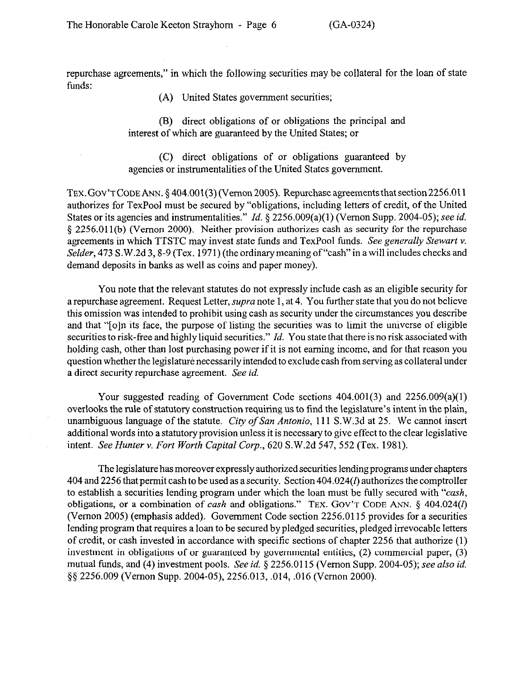repurchase agreements," in which the following securities may be collateral for the loan of state funds:

(A) United States government securities;

(B) direct obligations of or obligations the principal and interest of which are guaranteed by the United States; or

(C) direct obligations of or obligations guaranteed by agencies or instrumentalities of the United States government.

TEX. GOV'T CODE ANN.  $\S$  404.001(3) (Vernon 2005). Repurchase agreements that section 2256.011 authorizes for TexPool must be secured by "obligations, including letters of credit, of the United States or its agencies and instrumentalities." *Id. 5* 2256.009(a)(l) (Vernon Supp. 2004-05); see *id.*  § 2256.011(b) (Vernon 2000). Neither provision authorizes cash as security for the repurchase agreements in which TTSTC may invest state fimds and TexPool funds. See *generally Stewart Y. Selder*, 473 S.W.2d 3, 8-9 (Tex. 1971) (the ordinary meaning of "cash" in a will includes checks and demand deposits in banks as well as coins and paper money).

You note that the relevant statutes do not expressly include cash as an eligible security for a repurchase agreement. Request Letter, supra note 1, at 4. You further state that you do not believe this omission was intended to prohibit using cash as security under the circumstances you describe and that "[o]n its face, the purpose of listing the securities was to limit the universe of eligible securities to risk-free and highly liquid securities." *Id. You* state that there is no risk associated with holding cash, other than lost purchasing power if it is not earning income, and for that reason you question whether the legislature necessarily intended to exclude cash from serving as collateral under a direct security repurchase agreement. See *id.* 

Your suggested reading of Government Code sections 404.001(3) and 2256.009(a)(l) overlooks the rule of statutory construction requiring us to find the legislature's intent in the plain, unambiguous language of the statute. *City of San Antonio,* 111 S.W.3d at 25. We cannot insert additional words into a statutory provision unless it is necessary to give effect to the clear legislative intent. *See Hunter v. Fort Worth Capital Corp., 620* S.W.2d 547, 552 (Tex. 1981).

The legislature has moreover expressly authorized securities lending programs under chapters 404 and 2256 that permit cash to be used as a security. Section 404.024(1) authorizes the comptroller to establish a securities lending program under which the loan must be lily secured with *"cash,*  obligations, or a combination of *cash* and obligations." TEX. GOV'T CODE ANN. § 404.024(I) (Vernon 2005) (emphasis added). Government Code section 2256.0115 provides for a securities lending program that requires a loan to be secured by pledged securities, pledged irrevocable letters of credit, or cash invested in accordance with specific sections of chapter 2256 that authorize (1) investment in obligations of or guaranteed by governmental entities, (2) commercial paper, (3) mutual funds, and (4) investment pools. See *id.* § 2256.0115 (Vernon Supp. 2004-05); see also *id.* \$5 2256.009 (Vernon Supp. 2004-05), 2256.013, .014, ,016 (Vernon 2000).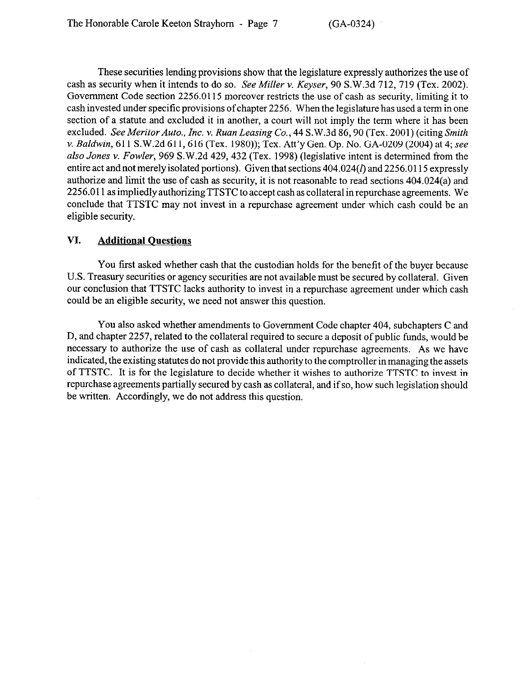These securities lending provisions show that the legislature expressly authorizes the use of cash as security when it intends to do so. See *MiNer Y. Keyser, 90* S.W.3d 712,719 (Tex. 2002). Government Code section 2256.0115 moreover restricts the use of cash as security, limiting it to cash invested under specific provisions of chapter 2256. When the legislature has used a term in one section of a statute and excluded it in another, a court will not imply the term where it has been excluded. *SeeMeritorAuto., Inc.* v. *Rum Leasing Co., 44* S.W.3d 86,90 (Tex. 2001) (citing *Smith v. Baldwin,* 611 S.W.2d 611, 616 (Tex. 1980)); Tex. Att'y Gen. Op. No. GA-0209 (2004) at 4; see also *Jones* v. *Fowler,* 969 S.W.2d 429,432 (Tex. 1998) (legislative intent is determined from the entire act and not merely isolated portions). Given that sections  $404.024(1)$  and  $2256.0115$  expressly authorize and limit the use of cash as security, it is not reasonable to read sections 404.024(a) and 2256.011 as impliedlyauthorizing TTSTC to accept cash as collateral inrepurchase agreements. We conclude that TTSTC may not invest in a repurchase agreement under which cash could be an eligible security.

## **VI. Additional Questions**

You first asked whether cash that the custodian holds for the benefit of the buyer because U.S. Treasury securities or agency securities are not available must be secured by collateral. Given our conclusion that TTSTC lacks authority to invest in a repurchase agreement under which cash could be an eligible security, we need not answer this question.

You also asked whether amendments to Government Code chapter 404, subchapters C and D, and chapter 2257, related to the collateral required to secure a deposit of public funds, would be necessary to authorize the use of cash as collateral under repurchase agreements. As we have indicated, the existing statutes do not provide this authority to the comptroller in managing the assets of TTSTC. It is for the legislature to decide whether it wishes to authorize TTSTC to invest in repurchase agreements partially secured by cash as collateral, and if so, how such legislation should be written. Accordingly, we do not address this question.